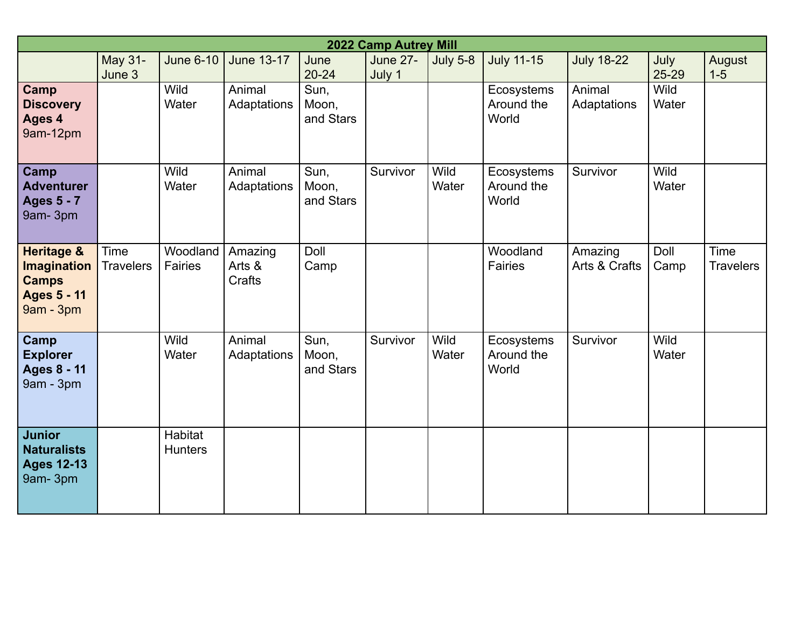| 2022 Camp Autrey Mill                                                                   |                          |                                  |                             |                            |                           |                      |                                   |                          |                      |                                 |
|-----------------------------------------------------------------------------------------|--------------------------|----------------------------------|-----------------------------|----------------------------|---------------------------|----------------------|-----------------------------------|--------------------------|----------------------|---------------------------------|
|                                                                                         | May 31-<br>June 3        | <b>June 6-10</b>                 | <b>June 13-17</b>           | June<br>$20 - 24$          | <b>June 27-</b><br>July 1 | <b>July 5-8</b>      | <b>July 11-15</b>                 | <b>July 18-22</b>        | July<br>25-29        | August<br>$1 - 5$               |
| Camp<br><b>Discovery</b><br>Ages 4<br>9am-12pm                                          |                          | Wild<br>Water                    | Animal<br>Adaptations       | Sun,<br>Moon,<br>and Stars |                           |                      | Ecosystems<br>Around the<br>World | Animal<br>Adaptations    | Wild<br>Water        |                                 |
| Camp<br><b>Adventurer</b><br><b>Ages 5 - 7</b><br>9am-3pm                               |                          | <b>Wild</b><br>Water             | Animal<br>Adaptations       | Sun,<br>Moon,<br>and Stars | Survivor                  | <b>Wild</b><br>Water | Ecosystems<br>Around the<br>World | Survivor                 | <b>Wild</b><br>Water |                                 |
| <b>Heritage &amp;</b><br>Imagination<br><b>Camps</b><br><b>Ages 5 - 11</b><br>9am - 3pm | Time<br><b>Travelers</b> | Woodland<br><b>Fairies</b>       | Amazing<br>Arts &<br>Crafts | Doll<br>Camp               |                           |                      | Woodland<br><b>Fairies</b>        | Amazing<br>Arts & Crafts | Doll<br>Camp         | <b>Time</b><br><b>Travelers</b> |
| <b>Camp</b><br><b>Explorer</b><br><b>Ages 8 - 11</b><br>9am - 3pm                       |                          | <b>Wild</b><br>Water             | Animal<br>Adaptations       | Sun,<br>Moon,<br>and Stars | Survivor                  | Wild<br>Water        | Ecosystems<br>Around the<br>World | Survivor                 | Wild<br>Water        |                                 |
| <b>Junior</b><br><b>Naturalists</b><br><b>Ages 12-13</b><br>9am-3pm                     |                          | <b>Habitat</b><br><b>Hunters</b> |                             |                            |                           |                      |                                   |                          |                      |                                 |